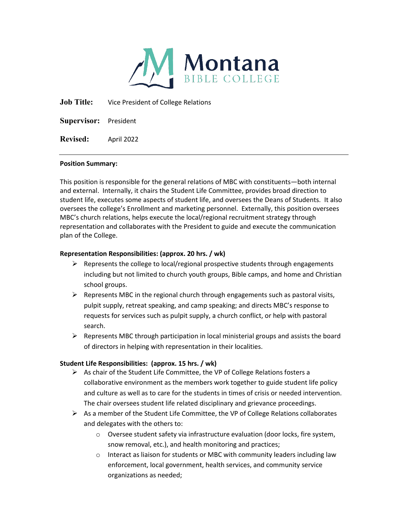

**Job Title:** Vice President of College Relations

**Supervisor:** President

**Revised:** April 2022

#### **Position Summary:**

This position is responsible for the general relations of MBC with constituents—both internal and external. Internally, it chairs the Student Life Committee, provides broad direction to student life, executes some aspects of student life, and oversees the Deans of Students. It also oversees the college's Enrollment and marketing personnel. Externally, this position oversees MBC's church relations, helps execute the local/regional recruitment strategy through representation and collaborates with the President to guide and execute the communication plan of the College.

#### **Representation Responsibilities: (approx. 20 hrs. / wk)**

- $\triangleright$  Represents the college to local/regional prospective students through engagements including but not limited to church youth groups, Bible camps, and home and Christian school groups.
- $\triangleright$  Represents MBC in the regional church through engagements such as pastoral visits, pulpit supply, retreat speaking, and camp speaking; and directs MBC's response to requests for services such as pulpit supply, a church conflict, or help with pastoral search.
- $\triangleright$  Represents MBC through participation in local ministerial groups and assists the board of directors in helping with representation in their localities.

# **Student Life Responsibilities: (approx. 15 hrs. / wk)**

- $\triangleright$  As chair of the Student Life Committee, the VP of College Relations fosters a collaborative environment as the members work together to guide student life policy and culture as well as to care for the students in times of crisis or needed intervention. The chair oversees student life related disciplinary and grievance proceedings.
- $\triangleright$  As a member of the Student Life Committee, the VP of College Relations collaborates and delegates with the others to:
	- o Oversee student safety via infrastructure evaluation (door locks, fire system, snow removal, etc.), and health monitoring and practices;
	- o Interact as liaison for students or MBC with community leaders including law enforcement, local government, health services, and community service organizations as needed;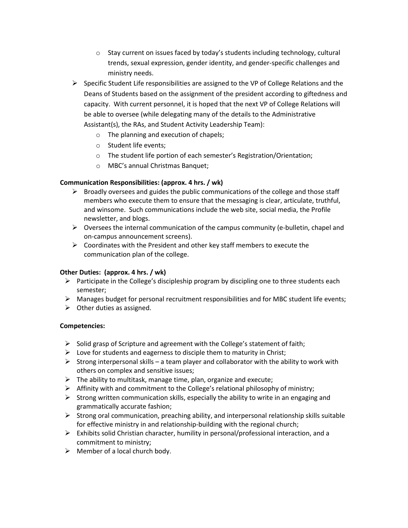- $\circ$  Stay current on issues faced by today's students including technology, cultural trends, sexual expression, gender identity, and gender-specific challenges and ministry needs.
- $\triangleright$  Specific Student Life responsibilities are assigned to the VP of College Relations and the Deans of Students based on the assignment of the president according to giftedness and capacity. With current personnel, it is hoped that the next VP of College Relations will be able to oversee (while delegating many of the details to the Administrative Assistant(s), the RAs, and Student Activity Leadership Team):
	- o The planning and execution of chapels;
	- o Student life events;
	- o The student life portion of each semester's Registration/Orientation;
	- o MBC's annual Christmas Banquet;

#### **Communication Responsibilities: (approx. 4 hrs. / wk)**

- $\triangleright$  Broadly oversees and guides the public communications of the college and those staff members who execute them to ensure that the messaging is clear, articulate, truthful, and winsome. Such communications include the web site, social media, the Profile newsletter, and blogs.
- $\triangleright$  Oversees the internal communication of the campus community (e-bulletin, chapel and on-campus announcement screens).
- $\triangleright$  Coordinates with the President and other key staff members to execute the communication plan of the college.

#### **Other Duties: (approx. 4 hrs. / wk)**

- $\triangleright$  Participate in the College's discipleship program by discipling one to three students each semester;
- $\triangleright$  Manages budget for personal recruitment responsibilities and for MBC student life events;
- $\triangleright$  Other duties as assigned.

#### **Competencies:**

- $\triangleright$  Solid grasp of Scripture and agreement with the College's statement of faith;
- $\triangleright$  Love for students and eagerness to disciple them to maturity in Christ;
- $\triangleright$  Strong interpersonal skills a team player and collaborator with the ability to work with others on complex and sensitive issues;
- $\triangleright$  The ability to multitask, manage time, plan, organize and execute;
- $\triangleright$  Affinity with and commitment to the College's relational philosophy of ministry;
- $\triangleright$  Strong written communication skills, especially the ability to write in an engaging and grammatically accurate fashion;
- $\triangleright$  Strong oral communication, preaching ability, and interpersonal relationship skills suitable for effective ministry in and relationship-building with the regional church;
- $\triangleright$  Exhibits solid Christian character, humility in personal/professional interaction, and a commitment to ministry;
- $\triangleright$  Member of a local church body.